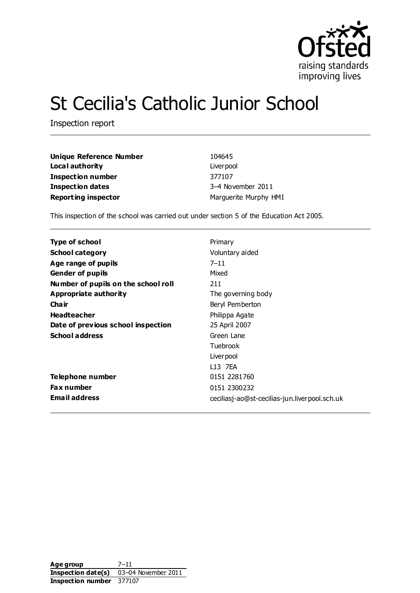

# St Cecilia's Catholic Junior School

Inspection report

| Unique Reference Number    | 104645                |
|----------------------------|-----------------------|
| Loca I authority           | Liver pool            |
| Inspection number          | 377107                |
| Inspection dates           | 3-4 November 2011     |
| <b>Reporting inspector</b> | Marguerite Murphy HMI |

This inspection of the school was carried out under section 5 of the Education Act 2005.

| Type of school                      | Primary                                       |
|-------------------------------------|-----------------------------------------------|
| <b>School category</b>              | Voluntary aided                               |
| Age range of pupils                 | $7 - 11$                                      |
| <b>Gender of pupils</b>             | Mixed                                         |
| Number of pupils on the school roll | 211                                           |
| Appropriate authority               | The governing body                            |
| Cha ir                              | Beryl Pemberton                               |
| <b>Headteacher</b>                  | Philippa Agate                                |
| Date of previous school inspection  | 25 April 2007                                 |
| <b>School address</b>               | Green Lane                                    |
|                                     | Tuebrook                                      |
|                                     | Liver pool                                    |
|                                     | L13 7EA                                       |
| Telephone number                    | 0151 2281760                                  |
| <b>Fax number</b>                   | 0151 2300232                                  |
| <b>Email address</b>                | ceciliasj-ao@st-cecilias-jun.liverpool.sch.uk |

Age group 7-11 **Inspection date(s)** 03–04 November 2011 **Inspection number** 377107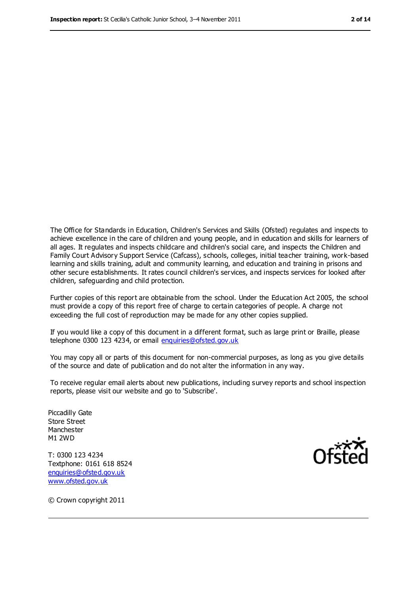The Office for Standards in Education, Children's Services and Skills (Ofsted) regulates and inspects to achieve excellence in the care of children and young people, and in education and skills for learners of all ages. It regulates and inspects childcare and children's social care, and inspects the Children and Family Court Advisory Support Service (Cafcass), schools, colleges, initial teacher training, work-based learning and skills training, adult and community learning, and education and training in prisons and other secure establishments. It rates council children's services, and inspects services for looked after children, safeguarding and child protection.

Further copies of this report are obtainable from the school. Under the Education Act 2005, the school must provide a copy of this report free of charge to certain categories of people. A charge not exceeding the full cost of reproduction may be made for any other copies supplied.

If you would like a copy of this document in a different format, such as large print or Braille, please telephone 0300 123 4234, or email [enquiries@ofsted.gov.uk](mailto:enquiries@ofsted.gov.uk)

You may copy all or parts of this document for non-commercial purposes, as long as you give details of the source and date of publication and do not alter the information in any way.

To receive regular email alerts about new publications, including survey reports and school inspection reports, please visit our website and go to 'Subscribe'.

Piccadilly Gate Store Street Manchester M1 2WD

T: 0300 123 4234 Textphone: 0161 618 8524 [enquiries@ofsted.gov.uk](mailto:enquiries@ofsted.gov.uk) [www.ofsted.gov.uk](http://www.ofsted.gov.uk/)



© Crown copyright 2011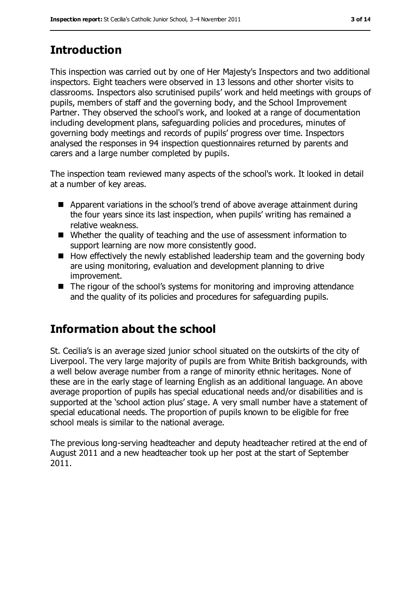## **Introduction**

This inspection was carried out by one of Her Majesty's Inspectors and two additional inspectors. Eight teachers were observed in 13 lessons and other shorter visits to classrooms. Inspectors also scrutinised pupils' work and held meetings with groups of pupils, members of staff and the governing body, and the School Improvement Partner. They observed the school's work, and looked at a range of documentation including development plans, safeguarding policies and procedures, minutes of governing body meetings and records of pupils' progress over time. Inspectors analysed the responses in 94 inspection questionnaires returned by parents and carers and a large number completed by pupils.

The inspection team reviewed many aspects of the school's work. It looked in detail at a number of key areas.

- Apparent variations in the school's trend of above average attainment during the four years since its last inspection, when pupils' writing has remained a relative weakness.
- Whether the quality of teaching and the use of assessment information to support learning are now more consistently good.
- $\blacksquare$  How effectively the newly established leadership team and the governing body are using monitoring, evaluation and development planning to drive improvement.
- The rigour of the school's systems for monitoring and improving attendance and the quality of its policies and procedures for safeguarding pupils.

## **Information about the school**

St. Cecilia's is an average sized junior school situated on the outskirts of the city of Liverpool. The very large majority of pupils are from White British backgrounds, with a well below average number from a range of minority ethnic heritages. None of these are in the early stage of learning English as an additional language. An above average proportion of pupils has special educational needs and/or disabilities and is supported at the 'school action plus' stage. A very small number have a statement of special educational needs. The proportion of pupils known to be eligible for free school meals is similar to the national average.

The previous long-serving headteacher and deputy headteacher retired at the end of August 2011 and a new headteacher took up her post at the start of September 2011.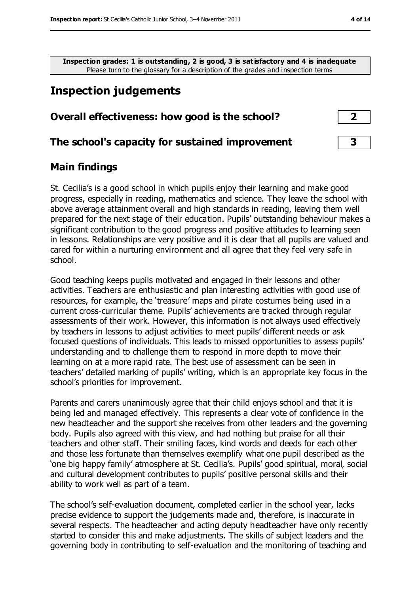**Inspection grades: 1 is outstanding, 2 is good, 3 is satisfactory and 4 is inadequate** Please turn to the glossary for a description of the grades and inspection terms

## **Inspection judgements**

#### **Overall effectiveness: how good is the school? 2**

#### **The school's capacity for sustained improvement 3**

#### **Main findings**

St. Cecilia's is a good school in which pupils enjoy their learning and make good progress, especially in reading, mathematics and science. They leave the school with above average attainment overall and high standards in reading, leaving them well prepared for the next stage of their education. Pupils' outstanding behaviour makes a significant contribution to the good progress and positive attitudes to learning seen in lessons. Relationships are very positive and it is clear that all pupils are valued and cared for within a nurturing environment and all agree that they feel very safe in school.

Good teaching keeps pupils motivated and engaged in their lessons and other activities. Teachers are enthusiastic and plan interesting activities with good use of resources, for example, the 'treasure' maps and pirate costumes being used in a current cross-curricular theme. Pupils' achievements are tracked through regular assessments of their work. However, this information is not always used effectively by teachers in lessons to adjust activities to meet pupils' different needs or ask focused questions of individuals. This leads to missed opportunities to assess pupils' understanding and to challenge them to respond in more depth to move their learning on at a more rapid rate. The best use of assessment can be seen in teachers' detailed marking of pupils' writing, which is an appropriate key focus in the school's priorities for improvement.

Parents and carers unanimously agree that their child enjoys school and that it is being led and managed effectively. This represents a clear vote of confidence in the new headteacher and the support she receives from other leaders and the governing body. Pupils also agreed with this view, and had nothing but praise for all their teachers and other staff. Their smiling faces, kind words and deeds for each other and those less fortunate than themselves exemplify what one pupil described as the 'one big happy family' atmosphere at St. Cecilia's. Pupils' good spiritual, moral, social and cultural development contributes to pupils' positive personal skills and their ability to work well as part of a team.

The school's self-evaluation document, completed earlier in the school year, lacks precise evidence to support the judgements made and, therefore, is inaccurate in several respects. The headteacher and acting deputy headteacher have only recently started to consider this and make adjustments. The skills of subject leaders and the governing body in contributing to self-evaluation and the monitoring of teaching and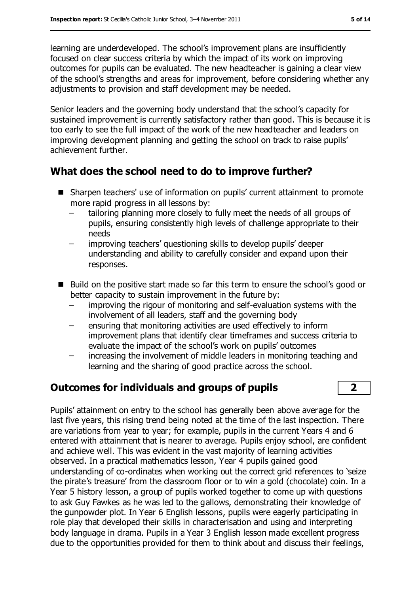learning are underdeveloped. The school's improvement plans are insufficiently focused on clear success criteria by which the impact of its work on improving outcomes for pupils can be evaluated. The new headteacher is gaining a clear view of the school's strengths and areas for improvement, before considering whether any adjustments to provision and staff development may be needed.

Senior leaders and the governing body understand that the school's capacity for sustained improvement is currently satisfactory rather than good. This is because it is too early to see the full impact of the work of the new headteacher and leaders on improving development planning and getting the school on track to raise pupils' achievement further.

#### **What does the school need to do to improve further?**

- Sharpen teachers' use of information on pupils' current attainment to promote more rapid progress in all lessons by:
	- tailoring planning more closely to fully meet the needs of all groups of pupils, ensuring consistently high levels of challenge appropriate to their needs
	- improving teachers' questioning skills to develop pupils' deeper understanding and ability to carefully consider and expand upon their responses.
- Build on the positive start made so far this term to ensure the school's good or better capacity to sustain improvement in the future by:
	- improving the rigour of monitoring and self-evaluation systems with the involvement of all leaders, staff and the governing body
	- ensuring that monitoring activities are used effectively to inform improvement plans that identify clear timeframes and success criteria to evaluate the impact of the school's work on pupils' outcomes
	- increasing the involvement of middle leaders in monitoring teaching and learning and the sharing of good practice across the school.

### **Outcomes for individuals and groups of pupils 2**

Pupils' attainment on entry to the school has generally been above average for the last five years, this rising trend being noted at the time of the last inspection. There are variations from year to year; for example, pupils in the current Years 4 and 6 entered with attainment that is nearer to average. Pupils enjoy school, are confident and achieve well. This was evident in the vast majority of learning activities observed. In a practical mathematics lesson, Year 4 pupils gained good understanding of co-ordinates when working out the correct grid references to 'seize the pirate's treasure' from the classroom floor or to win a gold (chocolate) coin. In a Year 5 history lesson, a group of pupils worked together to come up with questions to ask Guy Fawkes as he was led to the gallows, demonstrating their knowledge of the gunpowder plot. In Year 6 English lessons, pupils were eagerly participating in role play that developed their skills in characterisation and using and interpreting body language in drama. Pupils in a Year 3 English lesson made excellent progress due to the opportunities provided for them to think about and discuss their feelings,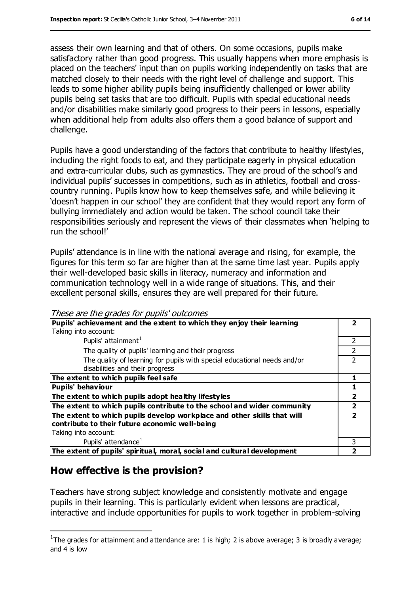assess their own learning and that of others. On some occasions, pupils make satisfactory rather than good progress. This usually happens when more emphasis is placed on the teachers' input than on pupils working independently on tasks that are matched closely to their needs with the right level of challenge and support. This leads to some higher ability pupils being insufficiently challenged or lower ability pupils being set tasks that are too difficult. Pupils with special educational needs and/or disabilities make similarly good progress to their peers in lessons, especially when additional help from adults also offers them a good balance of support and challenge.

Pupils have a good understanding of the factors that contribute to healthy lifestyles, including the right foods to eat, and they participate eagerly in physical education and extra-curricular clubs, such as gymnastics. They are proud of the school's and individual pupils' successes in competitions, such as in athletics, football and crosscountry running. Pupils know how to keep themselves safe, and while believing it 'doesn't happen in our school' they are confident that they would report any form of bullying immediately and action would be taken. The school council take their responsibilities seriously and represent the views of their classmates when 'helping to run the school!'

Pupils' attendance is in line with the national average and rising, for example, the figures for this term so far are higher than at the same time last year. Pupils apply their well-developed basic skills in literacy, numeracy and information and communication technology well in a wide range of situations. This, and their excellent personal skills, ensures they are well prepared for their future.

| <i>nose are are grades for papils validnites</i><br>Pupils' achievement and the extent to which they enjoy their learning |                          |
|---------------------------------------------------------------------------------------------------------------------------|--------------------------|
| Taking into account:                                                                                                      |                          |
| Pupils' attainment <sup>1</sup>                                                                                           | 2                        |
| The quality of pupils' learning and their progress                                                                        |                          |
| The quality of learning for pupils with special educational needs and/or<br>disabilities and their progress               |                          |
| The extent to which pupils feel safe                                                                                      |                          |
| <b>Pupils' behaviour</b>                                                                                                  |                          |
| The extent to which pupils adopt healthy lifestyles                                                                       | $\overline{2}$           |
| The extent to which pupils contribute to the school and wider community                                                   | $\overline{\mathbf{2}}$  |
| The extent to which pupils develop workplace and other skills that will<br>contribute to their future economic well-being | $\overline{\phantom{a}}$ |
| Taking into account:                                                                                                      |                          |
| Pupils' attendance <sup>1</sup>                                                                                           | 3                        |
| The extent of pupils' spiritual, moral, social and cultural development                                                   |                          |

These are the grades for pupils' outcomes

#### **How effective is the provision?**

 $\overline{a}$ 

Teachers have strong subject knowledge and consistently motivate and engage pupils in their learning. This is particularly evident when lessons are practical, interactive and include opportunities for pupils to work together in problem-solving

<sup>&</sup>lt;sup>1</sup>The grades for attainment and attendance are: 1 is high; 2 is above average; 3 is broadly average; and 4 is low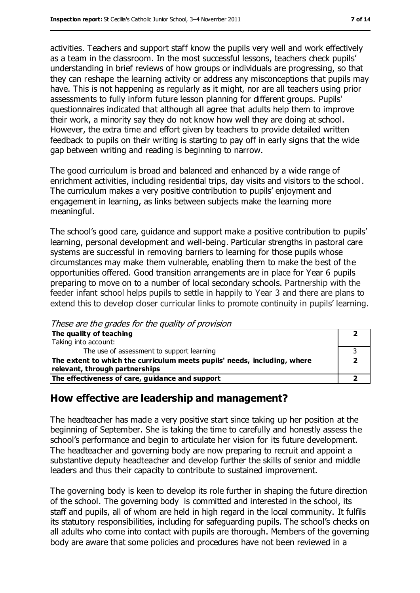activities. Teachers and support staff know the pupils very well and work effectively as a team in the classroom. In the most successful lessons, teachers check pupils' understanding in brief reviews of how groups or individuals are progressing, so that they can reshape the learning activity or address any misconceptions that pupils may have. This is not happening as regularly as it might, nor are all teachers using prior assessments to fully inform future lesson planning for different groups. Pupils' questionnaires indicated that although all agree that adults help them to improve their work, a minority say they do not know how well they are doing at school. However, the extra time and effort given by teachers to provide detailed written feedback to pupils on their writing is starting to pay off in early signs that the wide gap between writing and reading is beginning to narrow.

The good curriculum is broad and balanced and enhanced by a wide range of enrichment activities, including residential trips, day visits and visitors to the school. The curriculum makes a very positive contribution to pupils' enjoyment and engagement in learning, as links between subjects make the learning more meaningful.

The school's good care, guidance and support make a positive contribution to pupils' learning, personal development and well-being. Particular strengths in pastoral care systems are successful in removing barriers to learning for those pupils whose circumstances may make them vulnerable, enabling them to make the best of the opportunities offered. Good transition arrangements are in place for Year 6 pupils preparing to move on to a number of local secondary schools. Partnership with the feeder infant school helps pupils to settle in happily to Year 3 and there are plans to extend this to develop closer curricular links to promote continuity in pupils' learning.

These are the grades for the quality of provision

| The quality of teaching                                                  |  |
|--------------------------------------------------------------------------|--|
| Taking into account:                                                     |  |
| The use of assessment to support learning                                |  |
| The extent to which the curriculum meets pupils' needs, including, where |  |
| relevant, through partnerships                                           |  |
| The effectiveness of care, guidance and support                          |  |

#### **How effective are leadership and management?**

The headteacher has made a very positive start since taking up her position at the beginning of September. She is taking the time to carefully and honestly assess the school's performance and begin to articulate her vision for its future development. The headteacher and governing body are now preparing to recruit and appoint a substantive deputy headteacher and develop further the skills of senior and middle leaders and thus their capacity to contribute to sustained improvement.

The governing body is keen to develop its role further in shaping the future direction of the school. The governing body is committed and interested in the school, its staff and pupils, all of whom are held in high regard in the local community. It fulfils its statutory responsibilities, including for safeguarding pupils. The school's checks on all adults who come into contact with pupils are thorough. Members of the governing body are aware that some policies and procedures have not been reviewed in a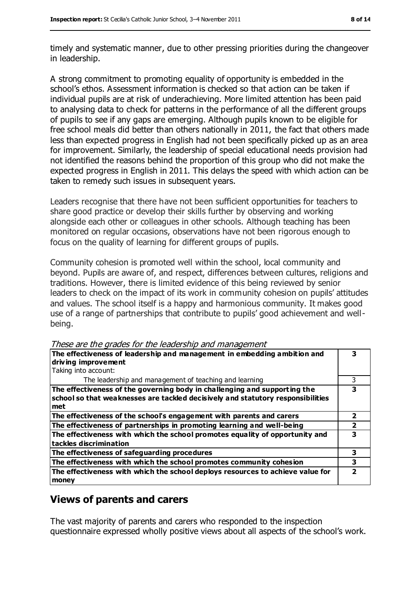timely and systematic manner, due to other pressing priorities during the changeover in leadership.

A strong commitment to promoting equality of opportunity is embedded in the school's ethos. Assessment information is checked so that action can be taken if individual pupils are at risk of underachieving. More limited attention has been paid to analysing data to check for patterns in the performance of all the different groups of pupils to see if any gaps are emerging. Although pupils known to be eligible for free school meals did better than others nationally in 2011, the fact that others made less than expected progress in English had not been specifically picked up as an area for improvement. Similarly, the leadership of special educational needs provision had not identified the reasons behind the proportion of this group who did not make the expected progress in English in 2011. This delays the speed with which action can be taken to remedy such issues in subsequent years.

Leaders recognise that there have not been sufficient opportunities for teachers to share good practice or develop their skills further by observing and working alongside each other or colleagues in other schools. Although teaching has been monitored on regular occasions, observations have not been rigorous enough to focus on the quality of learning for different groups of pupils.

Community cohesion is promoted well within the school, local community and beyond. Pupils are aware of, and respect, differences between cultures, religions and traditions. However, there is limited evidence of this being reviewed by senior leaders to check on the impact of its work in community cohesion on pupils' attitudes and values. The school itself is a happy and harmonious community. It makes good use of a range of partnerships that contribute to pupils' good achievement and wellbeing.

| The effectiveness of leadership and management in embedding ambition and                                                                                            |   |  |
|---------------------------------------------------------------------------------------------------------------------------------------------------------------------|---|--|
| driving improvement                                                                                                                                                 |   |  |
| Taking into account:                                                                                                                                                |   |  |
| The leadership and management of teaching and learning                                                                                                              | 3 |  |
| The effectiveness of the governing body in challenging and supporting the<br>school so that weaknesses are tackled decisively and statutory responsibilities<br>met | 3 |  |
| The effectiveness of the school's engagement with parents and carers                                                                                                | 2 |  |
| The effectiveness of partnerships in promoting learning and well-being                                                                                              |   |  |
| The effectiveness with which the school promotes equality of opportunity and<br>tackles discrimination                                                              | 3 |  |
| The effectiveness of safeguarding procedures                                                                                                                        | 3 |  |
| The effectiveness with which the school promotes community cohesion                                                                                                 | 3 |  |
| The effectiveness with which the school deploys resources to achieve value for<br>money                                                                             |   |  |

These are the grades for the leadership and management

#### **Views of parents and carers**

The vast majority of parents and carers who responded to the inspection questionnaire expressed wholly positive views about all aspects of the school's work.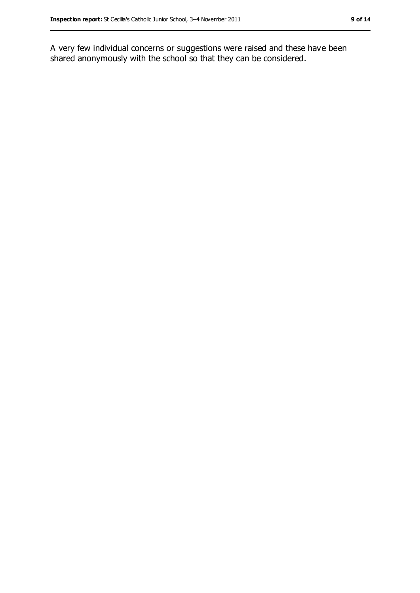A very few individual concerns or suggestions were raised and these have been shared anonymously with the school so that they can be considered.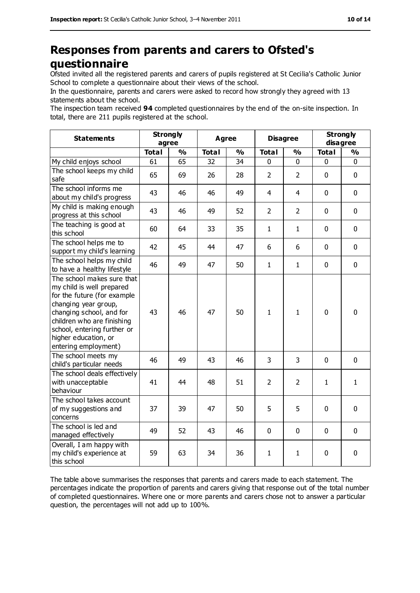## **Responses from parents and carers to Ofsted's questionnaire**

Ofsted invited all the registered parents and carers of pupils registered at St Cecilia's Catholic Junior School to complete a questionnaire about their views of the school.

In the questionnaire, parents and carers were asked to record how strongly they agreed with 13 statements about the school.

The inspection team received **94** completed questionnaires by the end of the on-site inspection. In total, there are 211 pupils registered at the school.

| <b>Statements</b>                                                                                                                                                                                                                                       | <b>Strongly</b><br>agree |               | <b>Agree</b> |               | <b>Disagree</b> |                | <b>Strongly</b><br>disagree |               |
|---------------------------------------------------------------------------------------------------------------------------------------------------------------------------------------------------------------------------------------------------------|--------------------------|---------------|--------------|---------------|-----------------|----------------|-----------------------------|---------------|
|                                                                                                                                                                                                                                                         | <b>Total</b>             | $\frac{0}{0}$ | <b>Total</b> | $\frac{0}{0}$ | <b>Total</b>    | $\frac{1}{2}$  | <b>Total</b>                | $\frac{0}{0}$ |
| My child enjoys school                                                                                                                                                                                                                                  | 61                       | 65            | 32           | 34            | 0               | 0              | 0                           | 0             |
| The school keeps my child<br>safe                                                                                                                                                                                                                       | 65                       | 69            | 26           | 28            | $\overline{2}$  | $\overline{2}$ | $\mathbf 0$                 | 0             |
| The school informs me<br>about my child's progress                                                                                                                                                                                                      | 43                       | 46            | 46           | 49            | 4               | 4              | $\mathbf 0$                 | 0             |
| My child is making enough<br>progress at this school                                                                                                                                                                                                    | 43                       | 46            | 49           | 52            | $\overline{2}$  | $\overline{2}$ | $\mathbf 0$                 | 0             |
| The teaching is good at<br>this school                                                                                                                                                                                                                  | 60                       | 64            | 33           | 35            | $\mathbf{1}$    | $\mathbf{1}$   | $\mathbf 0$                 | 0             |
| The school helps me to<br>support my child's learning                                                                                                                                                                                                   | 42                       | 45            | 44           | 47            | 6               | 6              | $\mathbf 0$                 | 0             |
| The school helps my child<br>to have a healthy lifestyle                                                                                                                                                                                                | 46                       | 49            | 47           | 50            | $\mathbf{1}$    | $\mathbf{1}$   | $\mathbf 0$                 | 0             |
| The school makes sure that<br>my child is well prepared<br>for the future (for example<br>changing year group,<br>changing school, and for<br>children who are finishing<br>school, entering further or<br>higher education, or<br>entering employment) | 43                       | 46            | 47           | 50            | $\mathbf{1}$    | 1              | $\mathbf 0$                 | $\mathbf 0$   |
| The school meets my<br>child's particular needs                                                                                                                                                                                                         | 46                       | 49            | 43           | 46            | 3               | 3              | $\mathbf{0}$                | 0             |
| The school deals effectively<br>with unacceptable<br>behaviour                                                                                                                                                                                          | 41                       | 44            | 48           | 51            | $\overline{2}$  | $\overline{2}$ | $\mathbf{1}$                | $\mathbf{1}$  |
| The school takes account<br>of my suggestions and<br>concerns                                                                                                                                                                                           | 37                       | 39            | 47           | 50            | 5               | 5              | $\mathbf 0$                 | $\mathbf 0$   |
| The school is led and<br>managed effectively                                                                                                                                                                                                            | 49                       | 52            | 43           | 46            | 0               | 0              | $\mathbf 0$                 | $\mathbf 0$   |
| Overall, I am happy with<br>my child's experience at<br>this school                                                                                                                                                                                     | 59                       | 63            | 34           | 36            | $\mathbf{1}$    | $\mathbf{1}$   | $\mathbf 0$                 | 0             |

The table above summarises the responses that parents and carers made to each statement. The percentages indicate the proportion of parents and carers giving that response out of the total number of completed questionnaires. Where one or more parents and carers chose not to answer a particular question, the percentages will not add up to 100%.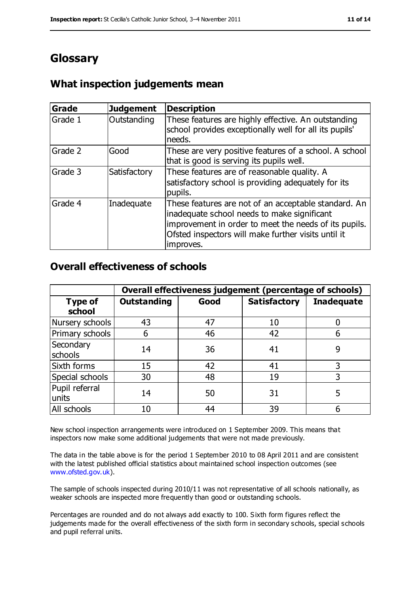## **Glossary**

#### **What inspection judgements mean**

| <b>Grade</b> | <b>Judgement</b> | Description                                                                                                                                                                                                                      |
|--------------|------------------|----------------------------------------------------------------------------------------------------------------------------------------------------------------------------------------------------------------------------------|
| Grade 1      | Outstanding      | These features are highly effective. An outstanding<br>school provides exceptionally well for all its pupils'<br>needs.                                                                                                          |
| Grade 2      | Good             | These are very positive features of a school. A school<br>that is good is serving its pupils well.                                                                                                                               |
| Grade 3      | Satisfactory     | These features are of reasonable quality. A<br>satisfactory school is providing adequately for its<br>pupils.                                                                                                                    |
| Grade 4      | Inadequate       | These features are not of an acceptable standard. An<br>inadequate school needs to make significant<br>improvement in order to meet the needs of its pupils.<br>Ofsted inspectors will make further visits until it<br>improves. |

#### **Overall effectiveness of schools**

|                          | Overall effectiveness judgement (percentage of schools) |      |                     |                   |
|--------------------------|---------------------------------------------------------|------|---------------------|-------------------|
| <b>Type of</b><br>school | <b>Outstanding</b>                                      | Good | <b>Satisfactory</b> | <b>Inadequate</b> |
| Nursery schools          | 43                                                      | 47   | 10                  |                   |
| Primary schools          | 6                                                       | 46   | 42                  |                   |
| Secondary<br>schools     | 14                                                      | 36   | 41                  | 9                 |
| Sixth forms              | 15                                                      | 42   | 41                  | 3                 |
| Special schools          | 30                                                      | 48   | 19                  | 3                 |
| Pupil referral<br>units  | 14                                                      | 50   | 31                  |                   |
| All schools              | 10                                                      | 44   | 39                  |                   |

New school inspection arrangements were introduced on 1 September 2009. This means that inspectors now make some additional judgements that were not made previously.

The data in the table above is for the period 1 September 2010 to 08 April 2011 and are consistent with the latest published official statistics about maintained school inspection outcomes (see [www.ofsted.gov.uk\)](http://www.ofsted.gov.uk/).

The sample of schools inspected during 2010/11 was not representative of all schools nationally, as weaker schools are inspected more frequently than good or outstanding schools.

Percentages are rounded and do not always add exactly to 100. Sixth form figures reflect the judgements made for the overall effectiveness of the sixth form in secondary schools, special schools and pupil referral units.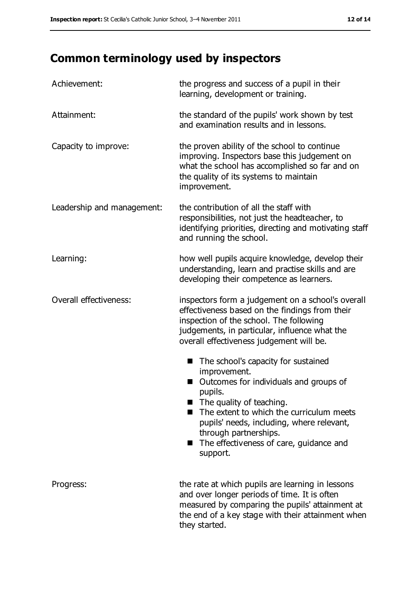## **Common terminology used by inspectors**

| Achievement:               | the progress and success of a pupil in their<br>learning, development or training.                                                                                                                                                                                                                                   |
|----------------------------|----------------------------------------------------------------------------------------------------------------------------------------------------------------------------------------------------------------------------------------------------------------------------------------------------------------------|
| Attainment:                | the standard of the pupils' work shown by test<br>and examination results and in lessons.                                                                                                                                                                                                                            |
| Capacity to improve:       | the proven ability of the school to continue<br>improving. Inspectors base this judgement on<br>what the school has accomplished so far and on<br>the quality of its systems to maintain<br>improvement.                                                                                                             |
| Leadership and management: | the contribution of all the staff with<br>responsibilities, not just the headteacher, to<br>identifying priorities, directing and motivating staff<br>and running the school.                                                                                                                                        |
| Learning:                  | how well pupils acquire knowledge, develop their<br>understanding, learn and practise skills and are<br>developing their competence as learners.                                                                                                                                                                     |
| Overall effectiveness:     | inspectors form a judgement on a school's overall<br>effectiveness based on the findings from their<br>inspection of the school. The following<br>judgements, in particular, influence what the<br>overall effectiveness judgement will be.                                                                          |
|                            | The school's capacity for sustained<br>■<br>improvement.<br>Outcomes for individuals and groups of<br>pupils.<br>The quality of teaching.<br>The extent to which the curriculum meets<br>pupils' needs, including, where relevant,<br>through partnerships.<br>■ The effectiveness of care, guidance and<br>support. |
| Progress:                  | the rate at which pupils are learning in lessons<br>and over longer periods of time. It is often<br>measured by comparing the pupils' attainment at<br>the end of a key stage with their attainment when<br>they started.                                                                                            |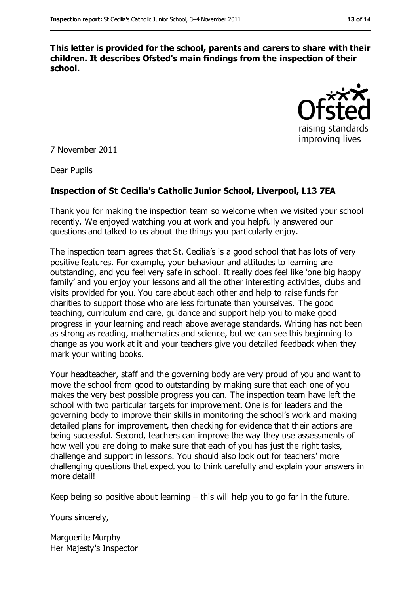**This letter is provided for the school, parents and carers to share with their children. It describes Ofsted's main findings from the inspection of their school.**



7 November 2011

Dear Pupils

#### **Inspection of St Cecilia's Catholic Junior School, Liverpool, L13 7EA**

Thank you for making the inspection team so welcome when we visited your school recently. We enjoyed watching you at work and you helpfully answered our questions and talked to us about the things you particularly enjoy.

The inspection team agrees that St. Cecilia's is a good school that has lots of very positive features. For example, your behaviour and attitudes to learning are outstanding, and you feel very safe in school. It really does feel like 'one big happy family' and you enjoy your lessons and all the other interesting activities, clubs and visits provided for you. You care about each other and help to raise funds for charities to support those who are less fortunate than yourselves. The good teaching, curriculum and care, guidance and support help you to make good progress in your learning and reach above average standards. Writing has not been as strong as reading, mathematics and science, but we can see this beginning to change as you work at it and your teachers give you detailed feedback when they mark your writing books.

Your headteacher, staff and the governing body are very proud of you and want to move the school from good to outstanding by making sure that each one of you makes the very best possible progress you can. The inspection team have left the school with two particular targets for improvement. One is for leaders and the governing body to improve their skills in monitoring the school's work and making detailed plans for improvement, then checking for evidence that their actions are being successful. Second, teachers can improve the way they use assessments of how well you are doing to make sure that each of you has just the right tasks, challenge and support in lessons. You should also look out for teachers' more challenging questions that expect you to think carefully and explain your answers in more detail!

Keep being so positive about learning  $-$  this will help you to go far in the future.

Yours sincerely,

Marguerite Murphy Her Majesty's Inspector